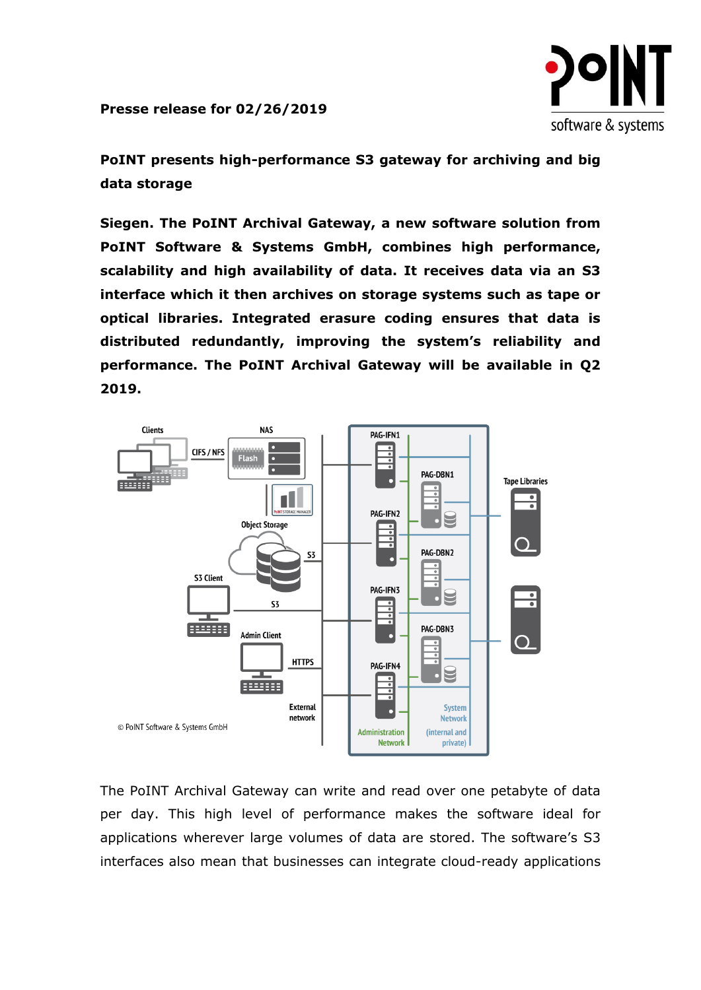software & systems

**Presse release for 02/26/2019**

**PoINT presents high-performance S3 gateway for archiving and big data storage**

**Siegen. The PoINT Archival Gateway, a new software solution from PoINT Software & Systems GmbH, combines high performance, scalability and high availability of data. It receives data via an S3 interface which it then archives on storage systems such as tape or optical libraries. Integrated erasure coding ensures that data is distributed redundantly, improving the system's reliability and performance. The PoINT Archival Gateway will be available in Q2 2019.**



The PoINT Archival Gateway can write and read over one petabyte of data per day. This high level of performance makes the software ideal for applications wherever large volumes of data are stored. The software's S3 interfaces also mean that businesses can integrate cloud-ready applications